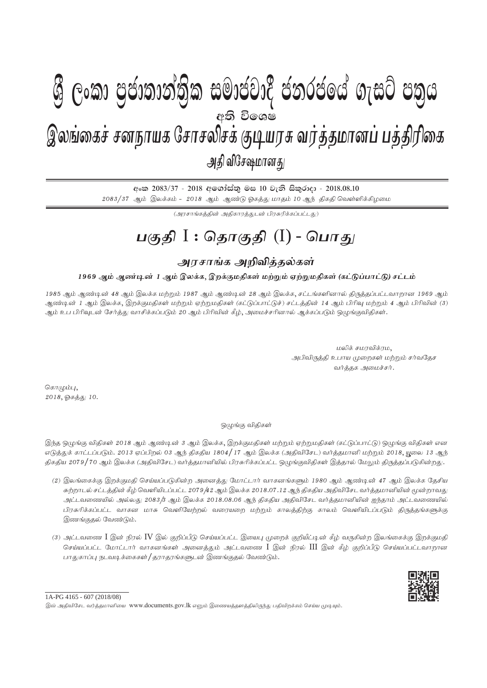## $\mathbf{A} \cup \mathbf{A} \cup \mathbf{A}$  ,  $\mathbf{A} \cup \mathbf{A}$  ,  $\mathbf{A} \cup \mathbf{A}$  ,  $\mathbf{A} \cup \mathbf{A}$ gFjp I : njhFjp (I) - ,yq;ifr; rdehaf Nrhryprf; FbauR tu;j;jkhdg; gj;jpupif - mjp tpNr\khdJ - 2018.08.10 இலங்கைச் சனநாயக சோசலிசக் குடியரசு வர்த்தமானப் பத்திரிகை அதி விசேஷமானது **W** Gord *Genongia* manggic gologon n*i*m obje අති වි**ං**ශෂ

අංක 2083/37 - 2018 අගෝස්තු මස 10 වැනි සිකුරාදා - 2018.08.10  $2083/37$  ஆம் இலக்கம் -  $2018$  ஆம் ஆண்டு ஓகத்து மாதம் 10 ஆந் திகதி வெள்ளிக்கிழமை

(அாசாங்கக்கின் அகிகாாக்கடன் பிரசுரிக்கப்பட்டகட)

# <u>பகுதி</u> I : தொகுதி (I) - பொது

## <u>அரசாங்க அறிவித்த</u>ல்கள்

### 1969 ஆம் ஆண்டின் 1 ஆம் இலக்க, இறக்குமதிகள் மற்றும் ஏற்றுமதிகள் (கட்டுப்பாட்டு) சட்டம்

1985 ஆம் ஆண்டின் 48 ஆம் இலக்க மற்றும் 1987 ஆம் ஆண்டின் 28 ஆம் இலக்க, சட்டங்களினால் திருத்தப்பட்டவாறான 1969 ஆம் ஆண்டின் 1 ஆம் இலக்க, இறக்குமதிகள் மற்றும் ஏற்றுமதிகள் (கட்டுப்பாட்டுச்) சட்டத்தின் 14 ஆம் பிரிவு மற்றும் 4 ஆம் பிரிவின் (3) ஆம் உப பிரிவுடன் சேர்த்து வாசிக்கப்படும் 20 ஆம் பிரிவின் கீழ், அமைச்சரினால் ஆக்கப்படும் ஒழுங்குவிதிகள்.

> மலிக் சமரவிக்ரம, அபிவிருத்தி உபாய முறைகள் மற்றும் சர்வதேச வர்த்தக அமைச்சர்.

கொழும்பு $,$ 2018, ஓகத்து 10.

#### ஒழுங்கு விதிகள்

இந்த ஒழுங்கு விதிகள் 2018 ஆம் ஆண்டின் 3 ஆம் இலக்க, இறக்குமதிகள் மற்றும் ஏற்றுமதிகள் (கட்டுப்பாட்டு) ஒழுங்கு விதிகள் என எடுக்குக் காட்டப்படும். 2013 ஏப்பிறல் 03 ஆந் திகதிய 1804/17 ஆம் இலக்க (அதிவிசேட) வர்க்கமானி மற்றும் 2018, யுலை 13 ஆந் திகதிய 2079/70 ஆம் இலக்க (அதிவிசேட) வர்த்தமானியில் பிரசுரிக்கப்பட்ட ஒமுங்குவிதிகள் இத்தரல் மேலும் திருத்தப்படுகின்றது.

- (2) இலங்கைக்கு இறக்குமதி செய்யப்படுகின்ற அனைத்து மோட்டார் வாகனங்களும் 1980 ஆம் ஆண்டின் 47 ஆம் இலக்க தேசிய சுற்றாடல் சட்டத்தின் கீழ் வெளியிடப்பட்ட 2079/42 ஆம் இலக்க 2018.07.12 ஆந் திகதிய அதிவிசேட வர்த்தமானியின் மூன்றாவது அட்டவணையில் அல்லது 2083/3 ஆம் இலக்க 2018.08.06 ஆந் திகதிய அதிவிசேட வர்த்தமானியின் ஐந்தாம் அட்டவணையில் பிரசுரிக்கப்பட்ட வாகன மாசு வெளியேற்றல் வரையறை மற்றும் காலத்திற்கு காலம் வெளியிடப்படும் திருத்தங்களுக்கு இணங்குதல் வேண்டும்.
- (3) அட்டவணை  $I$  இன் நிரல்  $IV$  இல் குறிப்பீடு செய்யப்பட்ட இயைபு முறைக் குறியீட்டின் கீழ் வருகின்ற இலங்கைக்கு இறக்குமதி செய்யப்பட்ட மோட்டார் வாகனங்கள் அனைத்தும் அட்டவணை  ${\rm I}$  இன் நிரல்  ${\rm III}$  இன் கீழ் குறிப்பீடு செய்யப்பட்டவாறான பாதுகாப்பு நடவடிக்கைகள் / தராதரங்களுடன் இணங்குதல் வேண்டும்.



இவ் அதிவிசேட வர்த்தமானியை www.documents.gov.lk எனும் இணையத்தளத்திலிருந்து பதிவிறக்கம் செய்ய முடியும்.  $1A-PG$  4165 - 607 (2018/08)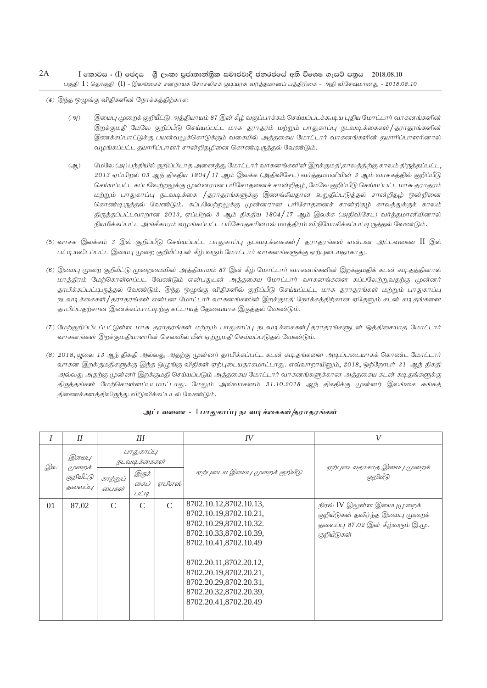#### $I$  කොටස : (I) ඡෙදය - ශීු ලංකා පුජාතාන්තිුක සමාජවාදී ජනරජයේ අති විශෙෂ ගැසට් පනුය - 2018.08.10 gFjp I : njhFjp (I) - ,yq;ifr; rdehaf Nrhryprf; FbauR tu;j;jkhdg; gj;jpupif - mjp tpNr\khdJ - 2018.08.10 2A

 $(4)$  இந்த ஒழுங்கு விதிகளின் நோக்கத்திற்காக:

- (அ) இயைபு முறைக் குறியீட்டு அத்தியாயம் 87 இன் கீழ் வகுப்பாக்கம் செய்யப்படக்கூடிய புதிய மோட்டார் வாகனங்களின் இறக்குமதி மேலே குறிப்பீடு செய்யப்பட்ட மாசு தராதரம் மற்றும் பாதுகாப்பு நடவடிக்கைகள்/தராதரங்களின் இணக்கப்பாட்டுக்கு பயன்வலுக்கொடுக்கும் வகையில் அத்தகைய மோட்டார் வாகனங்களின் தயாரிப்பாளரினால் வழங்கப்பட்ட தயாரிப்பாளர் சான்றிதழினை கொண்டிருத்தல் வேண்டும்.
- (ஆ) மேலே (அ) பந்தியில் குறிப்பிடாத அனைத்து மோட்டார் வாகனங்களின் இறக்குமதி,காலத்திற்கு காலம் திருத்தப்பட்ட,  $2013$  ஏப்பிறல் 03 ஆந் திகதிய 1804/17 ஆம் இலக்க (அதிவிசேட) வர்த்தமானியின் 3 ஆம் வாசகத்தில் குறிப்பீடு செய்யப்பட்ட கப்பலேற்றலுக்கு முன்னரான பரிசோதனைச் சான்றிதழ், மேலே குறிப்பீடு செய்யப்பட்ட மாசு தராதரம் மற்றும் பாதுகாப்பு நடவடிக்கை /தராதரங்களுக்கு இணங்கியதான உறுதிப்படுத்தல் சான்றிதழ் ஒன்றினை கொண்டிருத்தல் வேண்டும். கப்பலேற்றலுக்கு முன்னரான பரிசோதனைச் சான்றிதழ் காலத்துக்குக் காலம் திருத்தப்பட்டவாறான 2013, ஏப்பிறல் 3 ஆம் திகதிய 1804/17 ஆம் இலக்க (அதிவிசேட) வர்த்தமானியினால் நியமிக்கப்பட்ட அங்கீகாரம் வழங்கப்பட்ட பரிசோதகரினால் மாத்திரம் விநியோகிக்கப்பட்டிருத்தல் வேண்டும்.
- (5) வாசக இலக்கம் 3 இல் குறிப்பீடு செய்யப்பட்ட பாதுகாப்பு நடவடிக்கைகள்/ தராதரங்கள் என்பன அட்டவணை  $\rm{II}$  இல் பட்டியலிடப்பட்ட இயைபு முறை குறியீட்டின் கீழ் வரும் மோட்டார் வாகனங்களுக்கு ஏற்புடையதாகாது.
- (6) இயைபு முறை குறியீட்டு முறைமையின் அத்தியாயம் 87 இன் கீழ் மோட்டார் வாகனங்களின் இறக்குமதிக் கடன் கடிதத்தினால் மாத்திரம் மேற்கொள்ளப்பட வேண்டும் என்பதுடன் அத்தகைய மோட்டார் வாகனங்களை கப்பலேற்றுவதற்கு முன்னர் தாபிக்கப்பட்டிருத்தல் வேண்டும். இந்த ஒழுங்கு விதிகளில் குறிப்பீடு செய்யப்பட்ட மாசு தராதரங்கள் மற்றும் பாதுகாப்பு நடவடிக்கைகள்/தராதரங்கள் என்பன மோட்டார் வாகனங்களின் இறக்குமதி நோக்கத்திற்கான ஏதேனும் கடன் கடிதங்களை தாபிப்பதற்கான இணக்கப்பாட்டிற்கு கட்டாயத் தேவையாக இருத்தல் வேண்டும்.
- (7) மேற்குறிப்பிடப்பட்டுள்ள மாசு தராதரங்கள் மற்றும் பாதுகாப்பு நடவடிக்கைகள்/தராதரங்களுடன் ஒத்திசையாத மோட்டார் வாகனங்கள் இறக்குமதியாளரின் செலவில் மீள் ஏற்றுமதி செய்யப்படுதல் வேண்டும்.
- (8) 2018, யுலை 13 ஆந் திகதி அல்லது அதற்கு முன்னர் தாபிக்கப்பட்ட கடன் கடிதங்களை அடிப்படையாகக் கொண்ட மோட்டார் வாகன இறக்குமதிகளுக்கு இந்த ஒழுங்கு விதிகள் ஏற்புடையதாகமாட்டாது. எவ்வாறாயினும், 2018, ஒற்றோபர் 31 ஆந் திகதி அல்லது அதற்கு முன்னர் இறக்குமதி செய்யப்படும் அத்தகைய மோட்டார் வாகனங்களுக்கான அத்தகைய கடன் கடிதங்களுக்கு திருத்தங்கள் மேற்கொள்ளப்படமாட்டாது. மேலும் அவ்வாகனம் 31.10.2018 ஆந் திகதிக்கு முன்னர் இலங்கை சுங்கத் திணைக்களத்திலிருந்து விடுவிக்கப்படல் வேண்டும்.

|    | II                                       | III                        |                         |               | IV                                                                                                                                                                                                                                                             | V                                                                                                                    |
|----|------------------------------------------|----------------------------|-------------------------|---------------|----------------------------------------------------------------------------------------------------------------------------------------------------------------------------------------------------------------------------------------------------------------|----------------------------------------------------------------------------------------------------------------------|
| இல | இயைபு<br>முறைக்<br>குறியீட்டு<br>தலைப்பு | பாதுகாப்பு<br>நடவடிக்கைகள் |                         |               |                                                                                                                                                                                                                                                                | ஏற்புடையதாகாத இயைபு முறைக்                                                                                           |
|    |                                          | காற்றுப்<br>லைபகள்         | இருக்<br>கைப்<br>L/L'19 | ஏபிஎஸ்        | ஏற்புடைய இயைபு முறைக் குறியீடு                                                                                                                                                                                                                                 | குறியீடு                                                                                                             |
| 01 | 87.02                                    | $\mathcal{C}$              | $\mathcal{C}$           | $\mathcal{C}$ | 8702.10.12,8702.10.13,<br>8702.10.19,8702.10.21,<br>8702.10.29,8702.10.32.<br>8702.10.33,8702.10.39,<br>8702.10.41,8702.10.49<br>8702.20.11,8702.20.12,<br>8702.20.19,8702.20.21,<br>8702.20.29,8702.20.31,<br>8702.20.32,8702.20.39,<br>8702.20.41,8702.20.49 | நிரல் IV இலுள்ள இயைபுமுறைக்<br>குறியீடுகள் தவிர்ந்த இயைபு முறைக்<br>தலைப்பு 87.02 இன் கீழ்வரும் இ.மு.<br>குறியீடுகள் |

#### அட்டவணை - I பாதுகாப்பு நடவடிக்கைகள்*|*தராதரங்கள்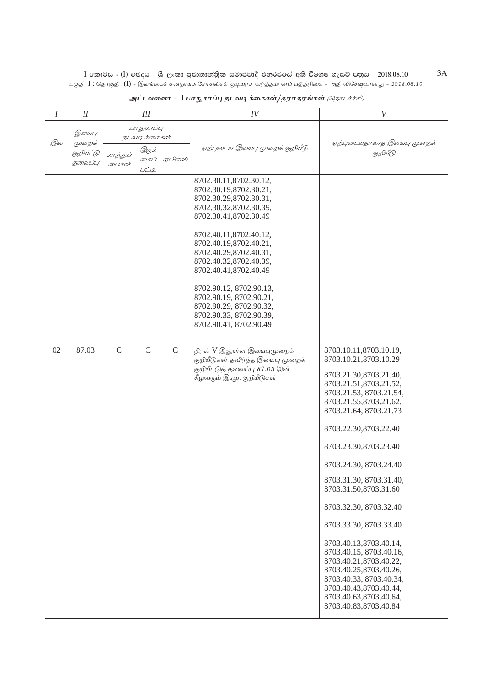$I$  කොටස : ( $I$ ) ඡෙදය - යුී ලංකා පුජාතාන්තිුක සමාජවාදී ජනරජයේ අති විශෙෂ ගැසට් පතුය - 2018.08.10<br>பகுதி  $I$  : தொகுதி ( $I$ ) - இலங்கைச் சனநாயக சோசலிசக் குடியரசு வர்த்தமானப் பத்திரிகை - அதி விசேஷமானது - 2018.08.10

| $\boldsymbol{I}$ | $I\!I$                                   | III                                                                                |               |               | IV                                                                                                                                                                                                                                                                                                                                                                                                   | V                                                                                                                                                                                                                                                                                                                                                                                                                                                                                                                                                                                       |
|------------------|------------------------------------------|------------------------------------------------------------------------------------|---------------|---------------|------------------------------------------------------------------------------------------------------------------------------------------------------------------------------------------------------------------------------------------------------------------------------------------------------------------------------------------------------------------------------------------------------|-----------------------------------------------------------------------------------------------------------------------------------------------------------------------------------------------------------------------------------------------------------------------------------------------------------------------------------------------------------------------------------------------------------------------------------------------------------------------------------------------------------------------------------------------------------------------------------------|
| இல               | இயைபு<br>முறைக்<br>குறியீட்டு<br>தலைப்பு | பாதுகாப்பு<br>நடவடிக்கைகள்<br>இருக்<br>காற்றுப்<br>ஏபிஎஸ்<br>கைப்<br>லபகள்<br>LILQ |               |               | ஏற்புடைய இயைபு முறைக் குறியீடு                                                                                                                                                                                                                                                                                                                                                                       | ஏற்புடையதாகாத இயைபு முறைக்<br>குறியீடு                                                                                                                                                                                                                                                                                                                                                                                                                                                                                                                                                  |
|                  |                                          |                                                                                    |               |               | 8702.30.11,8702.30.12,<br>8702.30.19,8702.30.21,<br>8702.30.29,8702.30.31,<br>8702.30.32,8702.30.39,<br>8702.30.41,8702.30.49<br>8702.40.11,8702.40.12,<br>8702.40.19,8702.40.21,<br>8702.40.29,8702.40.31,<br>8702.40.32,8702.40.39,<br>8702.40.41,8702.40.49<br>8702.90.12, 8702.90.13,<br>8702.90.19, 8702.90.21,<br>8702.90.29, 8702.90.32,<br>8702.90.33, 8702.90.39,<br>8702.90.41, 8702.90.49 |                                                                                                                                                                                                                                                                                                                                                                                                                                                                                                                                                                                         |
| 02               | 87.03                                    | $\mathcal{C}$                                                                      | $\mathcal{C}$ | $\mathcal{C}$ | நிரல் V இலுள்ள இயைபுமுறைக்<br>குறியீடுகள் தவிர்ந்த இயைபு முறைக்<br>குறியீட்டுத் தலைப்பு 87.03 இன்<br>கீழ்வரும் இ.மு. குறியீடுகள்                                                                                                                                                                                                                                                                     | 8703.10.11,8703.10.19,<br>8703.10.21,8703.10.29<br>8703.21.30,8703.21.40,<br>8703.21.51,8703.21.52,<br>8703.21.53, 8703.21.54,<br>8703.21.55,8703.21.62,<br>8703.21.64, 8703.21.73<br>8703.22.30,8703.22.40<br>8703.23.30,8703.23.40<br>8703.24.30, 8703.24.40<br>8703.31.30, 8703.31.40,<br>8703.31.50,8703.31.60<br>8703.32.30, 8703.32.40<br>8703.33.30, 8703.33.40<br>8703.40.13,8703.40.14,<br>8703.40.15, 8703.40.16,<br>8703.40.21,8703.40.22,<br>8703.40.25,8703.40.26,<br>8703.40.33, 8703.40.34,<br>8703.40.43,8703.40.44,<br>8703.40.63,8703.40.64,<br>8703.40.83,8703.40.84 |

### அட்டவணை -  $\;$ பாதுகாப்பு நடவடிக்கைகள்/தராதரங்கள் *(தொடர்ச்சி)*

 $3A$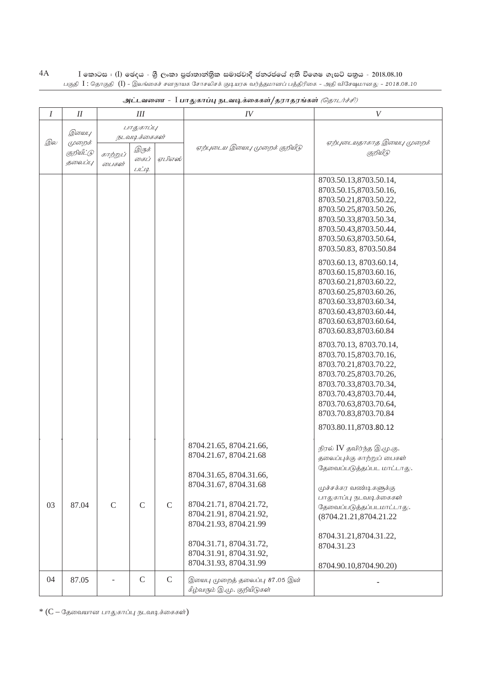$\rm I$  කොටස : ( $\rm I$ ) ඡෙදය - ශුී ලංකා පුජාතාන්තිුක සමාජවාදී ජනරජයේ අති විශෙෂ ගැසට් පතුය - 2018.08.10 பகுதி  $\,$  I : தொகுதி  $\,$  ( $\rm{I})$  - இலங்கைச் சனநாயக சோசலிசக் குடியரசு வர்த்தமானப் பத்திரிகை - அதி விசேஷமானது - 2018.08.10 4A

| Ι  | I          | III           |              |             | IV                             | $\boldsymbol{V}$           |
|----|------------|---------------|--------------|-------------|--------------------------------|----------------------------|
|    |            | பாதுகாப்பு    |              |             |                                |                            |
|    | இயைபு      | நடவடிக்கைகள்  |              |             |                                |                            |
| இல | முறைக்     |               | இருக்        |             | ஏற்புடைய இயைபு முறைக் குறியீடு | ஏற்புடையதாகாத இயைபு முறைக் |
|    | குறியீட்டு | காற்றுப்      | கைப்         | ஏபிஎஸ்      |                                | குறியீடு                   |
|    | தலைப்பு    | லபகள்         | LILIQ        |             |                                |                            |
|    |            |               |              |             |                                |                            |
|    |            |               |              |             |                                | 8703.50.13,8703.50.14,     |
|    |            |               |              |             |                                | 8703.50.15,8703.50.16,     |
|    |            |               |              |             |                                | 8703.50.21,8703.50.22,     |
|    |            |               |              |             |                                | 8703.50.25,8703.50.26,     |
|    |            |               |              |             |                                | 8703.50.33,8703.50.34,     |
|    |            |               |              |             |                                | 8703.50.43,8703.50.44,     |
|    |            |               |              |             |                                | 8703.50.63,8703.50.64,     |
|    |            |               |              |             |                                | 8703.50.83, 8703.50.84     |
|    |            |               |              |             |                                | 8703.60.13, 8703.60.14,    |
|    |            |               |              |             |                                | 8703.60.15,8703.60.16,     |
|    |            |               |              |             |                                | 8703.60.21,8703.60.22,     |
|    |            |               |              |             |                                | 8703.60.25,8703.60.26,     |
|    |            |               |              |             |                                | 8703.60.33,8703.60.34,     |
|    |            |               |              |             |                                | 8703.60.43,8703.60.44,     |
|    |            |               |              |             |                                | 8703.60.63,8703.60.64,     |
|    |            |               |              |             |                                |                            |
|    |            |               |              |             |                                | 8703.60.83,8703.60.84      |
|    |            |               |              |             |                                | 8703.70.13, 8703.70.14,    |
|    |            |               |              |             |                                | 8703.70.15,8703.70.16,     |
|    |            |               |              |             |                                | 8703.70.21,8703.70.22,     |
|    |            |               |              |             |                                | 8703.70.25,8703.70.26,     |
|    |            |               |              |             |                                | 8703.70.33,8703.70.34,     |
|    |            |               |              |             |                                | 8703.70.43,8703.70.44,     |
|    |            |               |              |             |                                | 8703.70.63,8703.70.64,     |
|    |            |               |              |             |                                | 8703.70.83,8703.70.84      |
|    |            |               |              |             |                                | 8703.80.11,8703.80.12      |
|    |            |               |              |             |                                |                            |
|    |            |               |              |             | 8704.21.65, 8704.21.66,        | நிரல் IV தவிர்ந்த இ.மு.கு. |
|    |            |               |              |             | 8704.21.67, 8704.21.68         | தலைப்புக்கு காற்றுப் பைகள் |
|    |            |               |              |             |                                | தேவைப்படுத்தப்பட மாட்டாது. |
|    |            |               |              |             | 8704.31.65, 8704.31.66,        |                            |
|    |            |               |              |             | 8704.31.67, 8704.31.68         | முச்சக்கர வண்டிகளுக்கு     |
|    |            |               |              |             |                                | பாதுகாப்பு நடவடிக்கைகள்    |
| 03 | 87.04      | $\mathcal{C}$ | $\mathsf{C}$ | $\mathsf C$ | 8704.21.71, 8704.21.72,        | தேவைப்படுத்தப்படமாட்டாது.  |
|    |            |               |              |             | 8704.21.91, 8704.21.92,        | (8704.21.21,8704.21.22)    |
|    |            |               |              |             | 8704.21.93, 8704.21.99         |                            |
|    |            |               |              |             |                                | 8704.31.21,8704.31.22,     |
|    |            |               |              |             | 8704.31.71, 8704.31.72,        | 8704.31.23                 |
|    |            |               |              |             | 8704.31.91, 8704.31.92,        |                            |
|    |            |               |              |             | 8704.31.93, 8704.31.99         | 8704.90.10,8704.90.20)     |
|    |            |               |              |             |                                |                            |
| 04 | 87.05      |               | $\mathsf C$  | $\mathbf C$ | இயைபு முறைத் தலைப்பு 87.05 இன் |                            |
|    |            |               |              |             | கீழ்வரும் இ.மு. குறியீடுகள்    |                            |

அட்டவணை - <sup>I</sup> பாதுகாப்பு நடவடிக்கைகள்/தராதரங்கள் *(தொடர்ச்சி)* 

 $*(C - G_3)$  வையான பாதுகாப்பு நடவடிக்கைகள் $)$